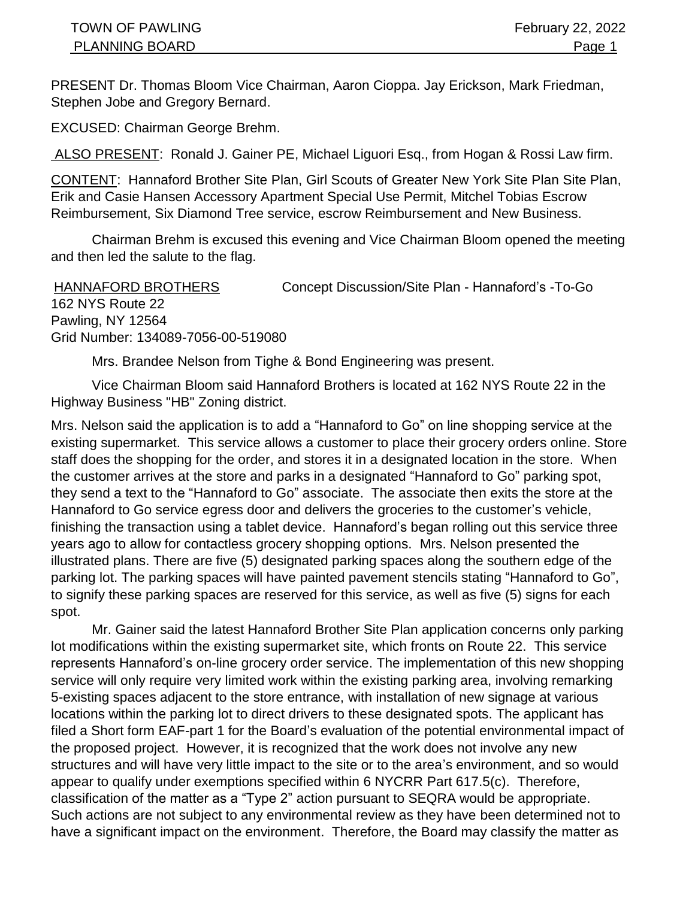PRESENT Dr. Thomas Bloom Vice Chairman, Aaron Cioppa. Jay Erickson, Mark Friedman, Stephen Jobe and Gregory Bernard.

EXCUSED: Chairman George Brehm.

ALSO PRESENT: Ronald J. Gainer PE, Michael Liguori Esq., from Hogan & Rossi Law firm.

CONTENT: Hannaford Brother Site Plan, Girl Scouts of Greater New York Site Plan Site Plan, Erik and Casie Hansen Accessory Apartment Special Use Permit, Mitchel Tobias Escrow Reimbursement, Six Diamond Tree service, escrow Reimbursement and New Business.

Chairman Brehm is excused this evening and Vice Chairman Bloom opened the meeting and then led the salute to the flag.

HANNAFORD BROTHERS Concept Discussion/Site Plan - Hannaford's -To-Go 162 NYS Route 22 Pawling, NY 12564 Grid Number: 134089-7056-00-519080

Mrs. Brandee Nelson from Tighe & Bond Engineering was present.

Vice Chairman Bloom said Hannaford Brothers is located at 162 NYS Route 22 in the Highway Business "HB" Zoning district.

Mrs. Nelson said the application is to add a "Hannaford to Go" on line shopping service at the existing supermarket. This service allows a customer to place their grocery orders online. Store staff does the shopping for the order, and stores it in a designated location in the store. When the customer arrives at the store and parks in a designated "Hannaford to Go" parking spot, they send a text to the "Hannaford to Go" associate. The associate then exits the store at the Hannaford to Go service egress door and delivers the groceries to the customer's vehicle, finishing the transaction using a tablet device. Hannaford's began rolling out this service three years ago to allow for contactless grocery shopping options. Mrs. Nelson presented the illustrated plans. There are five (5) designated parking spaces along the southern edge of the parking lot. The parking spaces will have painted pavement stencils stating "Hannaford to Go", to signify these parking spaces are reserved for this service, as well as five (5) signs for each spot.

Mr. Gainer said the latest Hannaford Brother Site Plan application concerns only parking lot modifications within the existing supermarket site, which fronts on Route 22. This service represents Hannaford's on-line grocery order service. The implementation of this new shopping service will only require very limited work within the existing parking area, involving remarking 5-existing spaces adjacent to the store entrance, with installation of new signage at various locations within the parking lot to direct drivers to these designated spots. The applicant has filed a Short form EAF-part 1 for the Board's evaluation of the potential environmental impact of the proposed project. However, it is recognized that the work does not involve any new structures and will have very little impact to the site or to the area's environment, and so would appear to qualify under exemptions specified within 6 NYCRR Part 617.5(c). Therefore, classification of the matter as a "Type 2" action pursuant to SEQRA would be appropriate. Such actions are not subject to any environmental review as they have been determined not to have a significant impact on the environment. Therefore, the Board may classify the matter as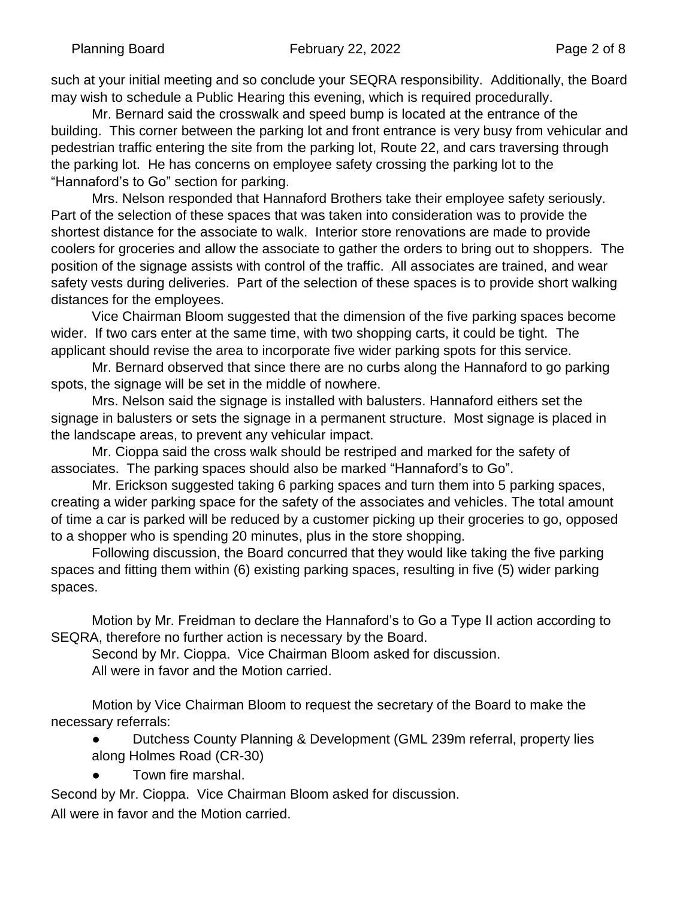such at your initial meeting and so conclude your SEQRA responsibility. Additionally, the Board may wish to schedule a Public Hearing this evening, which is required procedurally.

Mr. Bernard said the crosswalk and speed bump is located at the entrance of the building. This corner between the parking lot and front entrance is very busy from vehicular and pedestrian traffic entering the site from the parking lot, Route 22, and cars traversing through the parking lot. He has concerns on employee safety crossing the parking lot to the "Hannaford's to Go" section for parking.

Mrs. Nelson responded that Hannaford Brothers take their employee safety seriously. Part of the selection of these spaces that was taken into consideration was to provide the shortest distance for the associate to walk. Interior store renovations are made to provide coolers for groceries and allow the associate to gather the orders to bring out to shoppers. The position of the signage assists with control of the traffic. All associates are trained, and wear safety vests during deliveries. Part of the selection of these spaces is to provide short walking distances for the employees.

Vice Chairman Bloom suggested that the dimension of the five parking spaces become wider. If two cars enter at the same time, with two shopping carts, it could be tight. The applicant should revise the area to incorporate five wider parking spots for this service.

Mr. Bernard observed that since there are no curbs along the Hannaford to go parking spots, the signage will be set in the middle of nowhere.

Mrs. Nelson said the signage is installed with balusters. Hannaford eithers set the signage in balusters or sets the signage in a permanent structure. Most signage is placed in the landscape areas, to prevent any vehicular impact.

Mr. Cioppa said the cross walk should be restriped and marked for the safety of associates. The parking spaces should also be marked "Hannaford's to Go".

Mr. Erickson suggested taking 6 parking spaces and turn them into 5 parking spaces, creating a wider parking space for the safety of the associates and vehicles. The total amount of time a car is parked will be reduced by a customer picking up their groceries to go, opposed to a shopper who is spending 20 minutes, plus in the store shopping.

Following discussion, the Board concurred that they would like taking the five parking spaces and fitting them within (6) existing parking spaces, resulting in five (5) wider parking spaces.

Motion by Mr. Freidman to declare the Hannaford's to Go a Type II action according to SEQRA, therefore no further action is necessary by the Board.

Second by Mr. Cioppa. Vice Chairman Bloom asked for discussion. All were in favor and the Motion carried.

 Motion by Vice Chairman Bloom to request the secretary of the Board to make the necessary referrals:

● Dutchess County Planning & Development (GML 239m referral, property lies along Holmes Road (CR-30)

Town fire marshal.

Second by Mr. Cioppa. Vice Chairman Bloom asked for discussion. All were in favor and the Motion carried.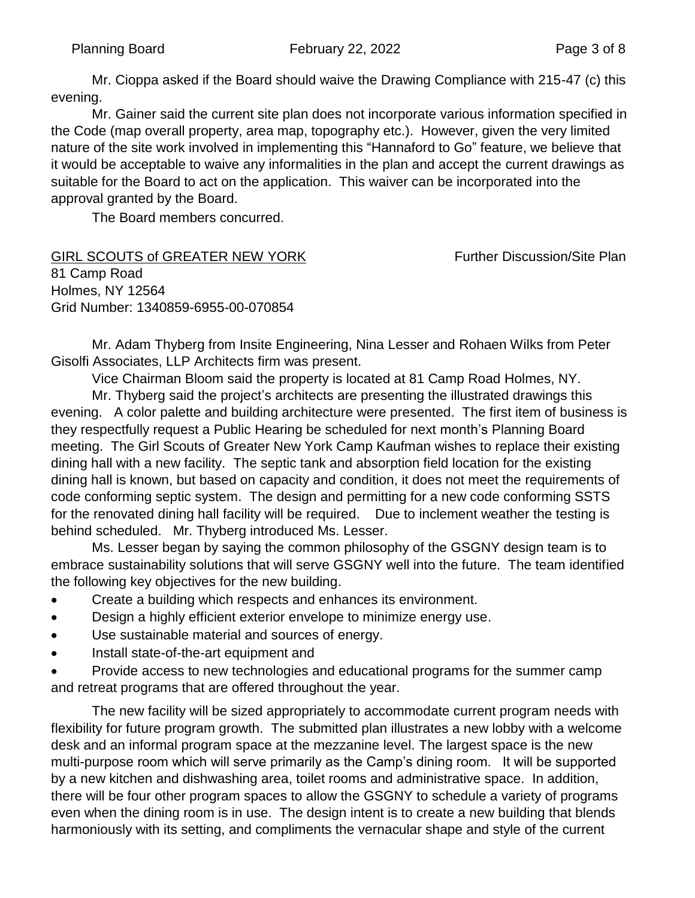Mr. Cioppa asked if the Board should waive the Drawing Compliance with 215-47 (c) this evening.

Mr. Gainer said the current site plan does not incorporate various information specified in the Code (map overall property, area map, topography etc.). However, given the very limited nature of the site work involved in implementing this "Hannaford to Go" feature, we believe that it would be acceptable to waive any informalities in the plan and accept the current drawings as suitable for the Board to act on the application. This waiver can be incorporated into the approval granted by the Board.

The Board members concurred.

GIRL SCOUTS of GREATER NEW YORK Further Discussion/Site Plan 81 Camp Road Holmes, NY 12564 Grid Number: 1340859-6955-00-070854

Mr. Adam Thyberg from Insite Engineering, Nina Lesser and Rohaen Wilks from Peter Gisolfi Associates, LLP Architects firm was present.

Vice Chairman Bloom said the property is located at 81 Camp Road Holmes, NY.

Mr. Thyberg said the project's architects are presenting the illustrated drawings this evening. A color palette and building architecture were presented. The first item of business is they respectfully request a Public Hearing be scheduled for next month's Planning Board meeting. The Girl Scouts of Greater New York Camp Kaufman wishes to replace their existing dining hall with a new facility. The septic tank and absorption field location for the existing dining hall is known, but based on capacity and condition, it does not meet the requirements of code conforming septic system. The design and permitting for a new code conforming SSTS for the renovated dining hall facility will be required. Due to inclement weather the testing is behind scheduled. Mr. Thyberg introduced Ms. Lesser.

Ms. Lesser began by saying the common philosophy of the GSGNY design team is to embrace sustainability solutions that will serve GSGNY well into the future. The team identified the following key objectives for the new building.

- Create a building which respects and enhances its environment.
- Design a highly efficient exterior envelope to minimize energy use.
- Use sustainable material and sources of energy.
- Install state-of-the-art equipment and

• Provide access to new technologies and educational programs for the summer camp and retreat programs that are offered throughout the year.

The new facility will be sized appropriately to accommodate current program needs with flexibility for future program growth. The submitted plan illustrates a new lobby with a welcome desk and an informal program space at the mezzanine level. The largest space is the new multi-purpose room which will serve primarily as the Camp's dining room. It will be supported by a new kitchen and dishwashing area, toilet rooms and administrative space. In addition, there will be four other program spaces to allow the GSGNY to schedule a variety of programs even when the dining room is in use. The design intent is to create a new building that blends harmoniously with its setting, and compliments the vernacular shape and style of the current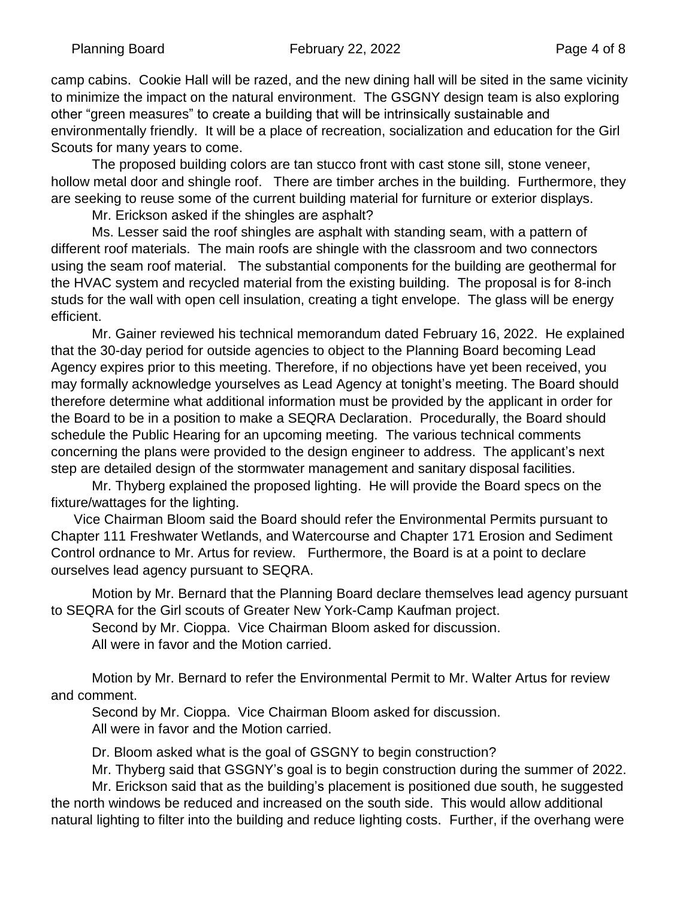camp cabins. Cookie Hall will be razed, and the new dining hall will be sited in the same vicinity to minimize the impact on the natural environment. The GSGNY design team is also exploring other "green measures" to create a building that will be intrinsically sustainable and environmentally friendly. It will be a place of recreation, socialization and education for the Girl Scouts for many years to come.

The proposed building colors are tan stucco front with cast stone sill, stone veneer, hollow metal door and shingle roof. There are timber arches in the building. Furthermore, they are seeking to reuse some of the current building material for furniture or exterior displays.

Mr. Erickson asked if the shingles are asphalt?

Ms. Lesser said the roof shingles are asphalt with standing seam, with a pattern of different roof materials. The main roofs are shingle with the classroom and two connectors using the seam roof material. The substantial components for the building are geothermal for the HVAC system and recycled material from the existing building. The proposal is for 8-inch studs for the wall with open cell insulation, creating a tight envelope. The glass will be energy efficient.

Mr. Gainer reviewed his technical memorandum dated February 16, 2022. He explained that the 30-day period for outside agencies to object to the Planning Board becoming Lead Agency expires prior to this meeting. Therefore, if no objections have yet been received, you may formally acknowledge yourselves as Lead Agency at tonight's meeting. The Board should therefore determine what additional information must be provided by the applicant in order for the Board to be in a position to make a SEQRA Declaration. Procedurally, the Board should schedule the Public Hearing for an upcoming meeting. The various technical comments concerning the plans were provided to the design engineer to address. The applicant's next step are detailed design of the stormwater management and sanitary disposal facilities.

Mr. Thyberg explained the proposed lighting. He will provide the Board specs on the fixture/wattages for the lighting.

 Vice Chairman Bloom said the Board should refer the Environmental Permits pursuant to Chapter 111 Freshwater Wetlands, and Watercourse and Chapter 171 Erosion and Sediment Control ordnance to Mr. Artus for review. Furthermore, the Board is at a point to declare ourselves lead agency pursuant to SEQRA.

Motion by Mr. Bernard that the Planning Board declare themselves lead agency pursuant to SEQRA for the Girl scouts of Greater New York-Camp Kaufman project.

Second by Mr. Cioppa. Vice Chairman Bloom asked for discussion. All were in favor and the Motion carried.

Motion by Mr. Bernard to refer the Environmental Permit to Mr. Walter Artus for review and comment.

Second by Mr. Cioppa. Vice Chairman Bloom asked for discussion. All were in favor and the Motion carried.

Dr. Bloom asked what is the goal of GSGNY to begin construction?

Mr. Thyberg said that GSGNY's goal is to begin construction during the summer of 2022.

Mr. Erickson said that as the building's placement is positioned due south, he suggested the north windows be reduced and increased on the south side. This would allow additional natural lighting to filter into the building and reduce lighting costs. Further, if the overhang were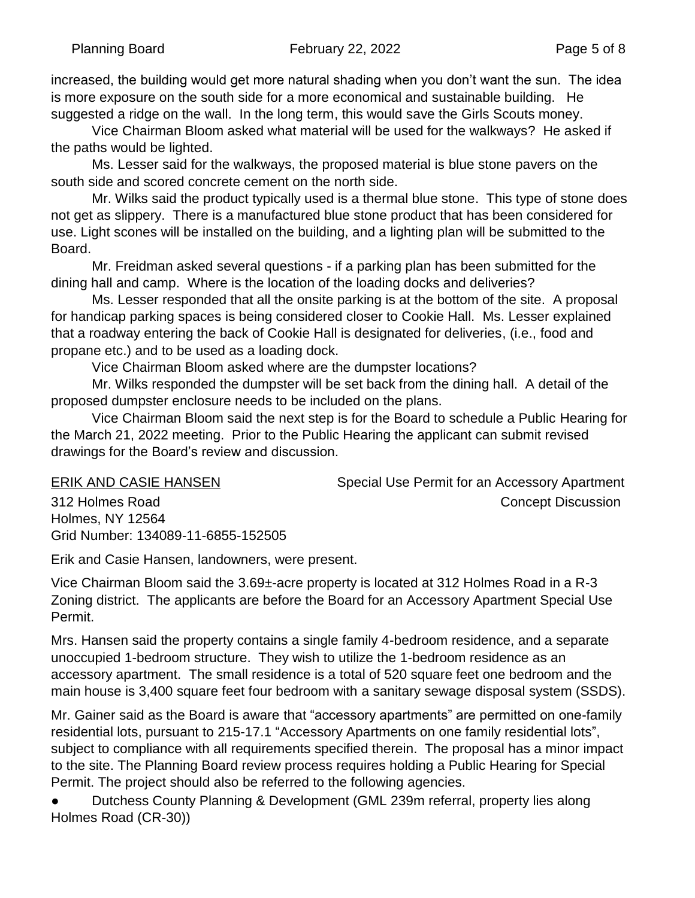increased, the building would get more natural shading when you don't want the sun. The idea is more exposure on the south side for a more economical and sustainable building. He suggested a ridge on the wall. In the long term, this would save the Girls Scouts money.

Vice Chairman Bloom asked what material will be used for the walkways? He asked if the paths would be lighted.

Ms. Lesser said for the walkways, the proposed material is blue stone pavers on the south side and scored concrete cement on the north side.

Mr. Wilks said the product typically used is a thermal blue stone. This type of stone does not get as slippery. There is a manufactured blue stone product that has been considered for use. Light scones will be installed on the building, and a lighting plan will be submitted to the Board.

Mr. Freidman asked several questions - if a parking plan has been submitted for the dining hall and camp. Where is the location of the loading docks and deliveries?

Ms. Lesser responded that all the onsite parking is at the bottom of the site. A proposal for handicap parking spaces is being considered closer to Cookie Hall. Ms. Lesser explained that a roadway entering the back of Cookie Hall is designated for deliveries, (i.e., food and propane etc.) and to be used as a loading dock.

Vice Chairman Bloom asked where are the dumpster locations?

Mr. Wilks responded the dumpster will be set back from the dining hall. A detail of the proposed dumpster enclosure needs to be included on the plans.

Vice Chairman Bloom said the next step is for the Board to schedule a Public Hearing for the March 21, 2022 meeting. Prior to the Public Hearing the applicant can submit revised drawings for the Board's review and discussion.

Holmes, NY 12564

Grid Number: 134089-11-6855-152505

ERIK AND CASIE HANSEN Special Use Permit for an Accessory Apartment 312 Holmes Road Concept Discussion

Erik and Casie Hansen, landowners, were present.

Vice Chairman Bloom said the 3.69±-acre property is located at 312 Holmes Road in a R-3 Zoning district. The applicants are before the Board for an Accessory Apartment Special Use Permit.

Mrs. Hansen said the property contains a single family 4-bedroom residence, and a separate unoccupied 1-bedroom structure. They wish to utilize the 1-bedroom residence as an accessory apartment. The small residence is a total of 520 square feet one bedroom and the main house is 3,400 square feet four bedroom with a sanitary sewage disposal system (SSDS).

Mr. Gainer said as the Board is aware that "accessory apartments" are permitted on one-family residential lots, pursuant to 215-17.1 "Accessory Apartments on one family residential lots", subject to compliance with all requirements specified therein. The proposal has a minor impact to the site. The Planning Board review process requires holding a Public Hearing for Special Permit. The project should also be referred to the following agencies.

Dutchess County Planning & Development (GML 239m referral, property lies along Holmes Road (CR-30))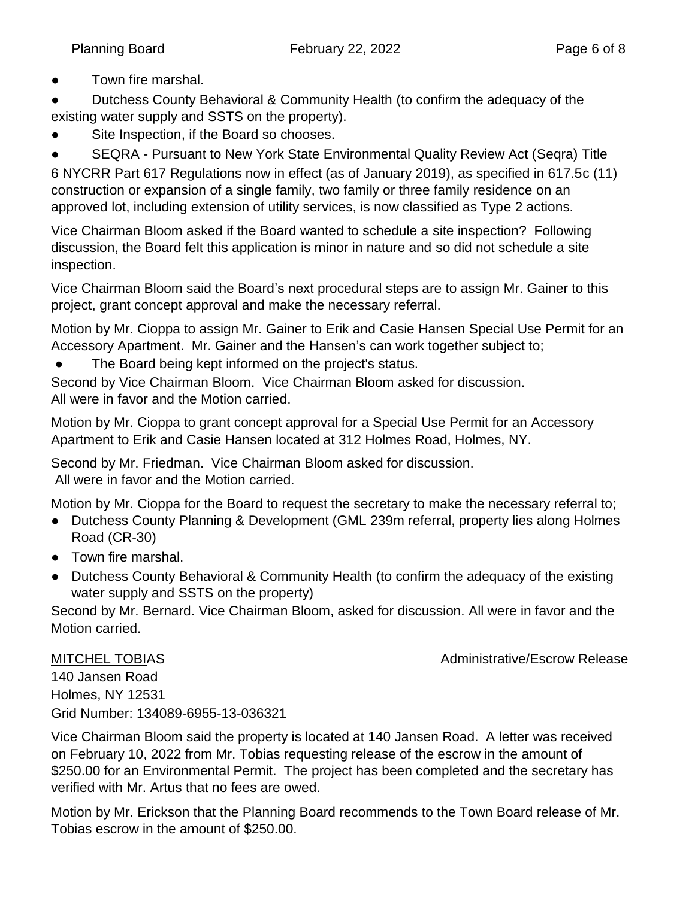● Town fire marshal.

Dutchess County Behavioral & Community Health (to confirm the adequacy of the existing water supply and SSTS on the property).

Site Inspection, if the Board so chooses.

● SEQRA - Pursuant to New York State Environmental Quality Review Act (Seqra) Title 6 NYCRR Part 617 Regulations now in effect (as of January 2019), as specified in 617.5c (11) construction or expansion of a single family, two family or three family residence on an approved lot, including extension of utility services, is now classified as Type 2 actions.

Vice Chairman Bloom asked if the Board wanted to schedule a site inspection? Following discussion, the Board felt this application is minor in nature and so did not schedule a site inspection.

Vice Chairman Bloom said the Board's next procedural steps are to assign Mr. Gainer to this project, grant concept approval and make the necessary referral.

Motion by Mr. Cioppa to assign Mr. Gainer to Erik and Casie Hansen Special Use Permit for an Accessory Apartment. Mr. Gainer and the Hansen's can work together subject to;

● The Board being kept informed on the project's status.

Second by Vice Chairman Bloom. Vice Chairman Bloom asked for discussion. All were in favor and the Motion carried.

Motion by Mr. Cioppa to grant concept approval for a Special Use Permit for an Accessory Apartment to Erik and Casie Hansen located at 312 Holmes Road, Holmes, NY.

Second by Mr. Friedman. Vice Chairman Bloom asked for discussion. All were in favor and the Motion carried.

Motion by Mr. Cioppa for the Board to request the secretary to make the necessary referral to;

- Dutchess County Planning & Development (GML 239m referral, property lies along Holmes Road (CR-30)
- Town fire marshal.
- Dutchess County Behavioral & Community Health (to confirm the adequacy of the existing water supply and SSTS on the property)

Second by Mr. Bernard. Vice Chairman Bloom, asked for discussion. All were in favor and the Motion carried.

MITCHEL TOBIAS **Administrative/Escrow Release** 

140 Jansen Road Holmes, NY 12531 Grid Number: 134089-6955-13-036321

Vice Chairman Bloom said the property is located at 140 Jansen Road. A letter was received on February 10, 2022 from Mr. Tobias requesting release of the escrow in the amount of \$250.00 for an Environmental Permit. The project has been completed and the secretary has verified with Mr. Artus that no fees are owed.

Motion by Mr. Erickson that the Planning Board recommends to the Town Board release of Mr. Tobias escrow in the amount of \$250.00.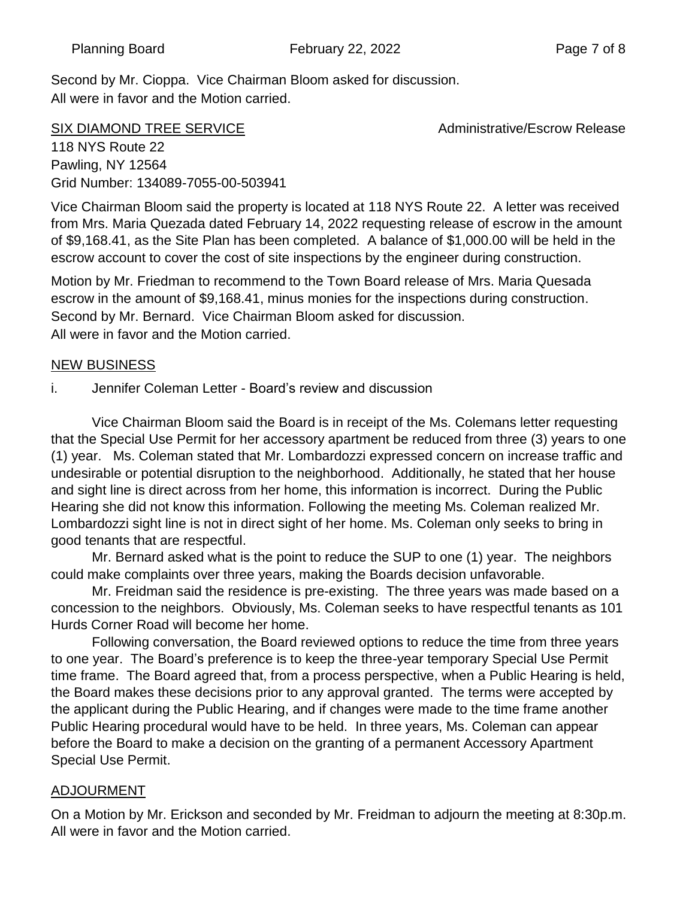Second by Mr. Cioppa. Vice Chairman Bloom asked for discussion. All were in favor and the Motion carried.

118 NYS Route 22

SIX DIAMOND TREE SERVICE **All and SIX DIAMOND** TREE SERVICE

Pawling, NY 12564 Grid Number: 134089-7055-00-503941

Vice Chairman Bloom said the property is located at 118 NYS Route 22. A letter was received from Mrs. Maria Quezada dated February 14, 2022 requesting release of escrow in the amount of \$9,168.41, as the Site Plan has been completed. A balance of \$1,000.00 will be held in the escrow account to cover the cost of site inspections by the engineer during construction.

Motion by Mr. Friedman to recommend to the Town Board release of Mrs. Maria Quesada escrow in the amount of \$9,168.41, minus monies for the inspections during construction. Second by Mr. Bernard. Vice Chairman Bloom asked for discussion. All were in favor and the Motion carried.

## NEW BUSINESS

i. Jennifer Coleman Letter - Board's review and discussion

Vice Chairman Bloom said the Board is in receipt of the Ms. Colemans letter requesting that the Special Use Permit for her accessory apartment be reduced from three (3) years to one (1) year. Ms. Coleman stated that Mr. Lombardozzi expressed concern on increase traffic and undesirable or potential disruption to the neighborhood. Additionally, he stated that her house and sight line is direct across from her home, this information is incorrect. During the Public Hearing she did not know this information. Following the meeting Ms. Coleman realized Mr. Lombardozzi sight line is not in direct sight of her home. Ms. Coleman only seeks to bring in good tenants that are respectful.

Mr. Bernard asked what is the point to reduce the SUP to one (1) year. The neighbors could make complaints over three years, making the Boards decision unfavorable.

Mr. Freidman said the residence is pre-existing. The three years was made based on a concession to the neighbors. Obviously, Ms. Coleman seeks to have respectful tenants as 101 Hurds Corner Road will become her home.

Following conversation, the Board reviewed options to reduce the time from three years to one year. The Board's preference is to keep the three-year temporary Special Use Permit time frame. The Board agreed that, from a process perspective, when a Public Hearing is held, the Board makes these decisions prior to any approval granted. The terms were accepted by the applicant during the Public Hearing, and if changes were made to the time frame another Public Hearing procedural would have to be held. In three years, Ms. Coleman can appear before the Board to make a decision on the granting of a permanent Accessory Apartment Special Use Permit.

## ADJOURMENT

On a Motion by Mr. Erickson and seconded by Mr. Freidman to adjourn the meeting at 8:30p.m. All were in favor and the Motion carried.